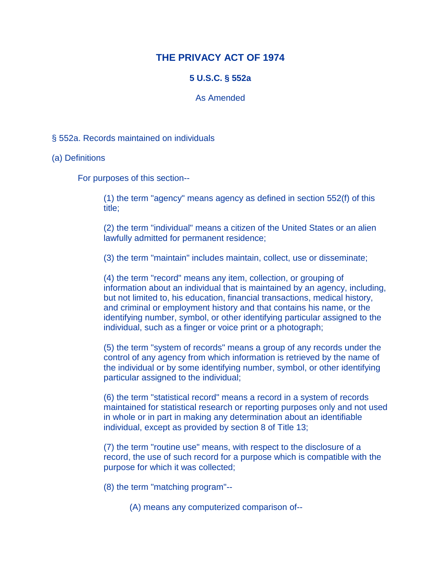# **THE PRIVACY ACT OF 1974**

## **5 U.S.C. § 552a**

### As Amended

§ 552a. Records maintained on individuals

### (a) Definitions

For purposes of this section--

(1) the term "agency" means agency as defined in section 552(f) of this title;

(2) the term "individual" means a citizen of the United States or an alien lawfully admitted for permanent residence;

(3) the term "maintain" includes maintain, collect, use or disseminate;

(4) the term "record" means any item, collection, or grouping of information about an individual that is maintained by an agency, including, but not limited to, his education, financial transactions, medical history, and criminal or employment history and that contains his name, or the identifying number, symbol, or other identifying particular assigned to the individual, such as a finger or voice print or a photograph;

(5) the term "system of records" means a group of any records under the control of any agency from which information is retrieved by the name of the individual or by some identifying number, symbol, or other identifying particular assigned to the individual;

(6) the term "statistical record" means a record in a system of records maintained for statistical research or reporting purposes only and not used in whole or in part in making any determination about an identifiable individual, except as provided by section 8 of Title 13;

(7) the term "routine use" means, with respect to the disclosure of a record, the use of such record for a purpose which is compatible with the purpose for which it was collected;

(8) the term "matching program"--

(A) means any computerized comparison of--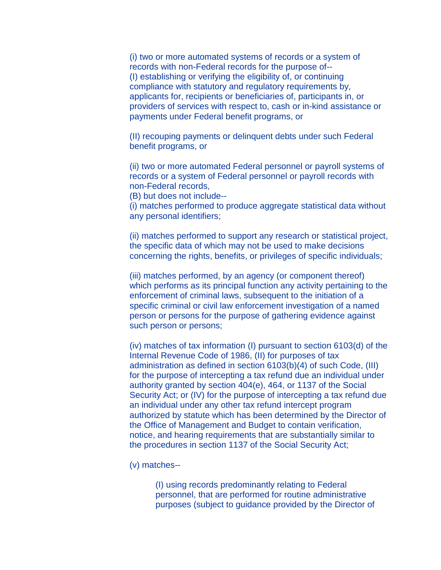(i) two or more automated systems of records or a system of records with non-Federal records for the purpose of-- (I) establishing or verifying the eligibility of, or continuing compliance with statutory and regulatory requirements by, applicants for, recipients or beneficiaries of, participants in, or providers of services with respect to, cash or in-kind assistance or payments under Federal benefit programs, or

(II) recouping payments or delinquent debts under such Federal benefit programs, or

(ii) two or more automated Federal personnel or payroll systems of records or a system of Federal personnel or payroll records with non-Federal records,

(B) but does not include--

(i) matches performed to produce aggregate statistical data without any personal identifiers;

(ii) matches performed to support any research or statistical project, the specific data of which may not be used to make decisions concerning the rights, benefits, or privileges of specific individuals;

(iii) matches performed, by an agency (or component thereof) which performs as its principal function any activity pertaining to the enforcement of criminal laws, subsequent to the initiation of a specific criminal or civil law enforcement investigation of a named person or persons for the purpose of gathering evidence against such person or persons;

(iv) matches of tax information (I) pursuant to section 6103(d) of the Internal Revenue Code of 1986, (II) for purposes of tax administration as defined in section 6103(b)(4) of such Code, (III) for the purpose of intercepting a tax refund due an individual under authority granted by section 404(e), 464, or 1137 of the Social Security Act; or (IV) for the purpose of intercepting a tax refund due an individual under any other tax refund intercept program authorized by statute which has been determined by the Director of the Office of Management and Budget to contain verification, notice, and hearing requirements that are substantially similar to the procedures in section 1137 of the Social Security Act;

#### (v) matches--

(I) using records predominantly relating to Federal personnel, that are performed for routine administrative purposes (subject to guidance provided by the Director of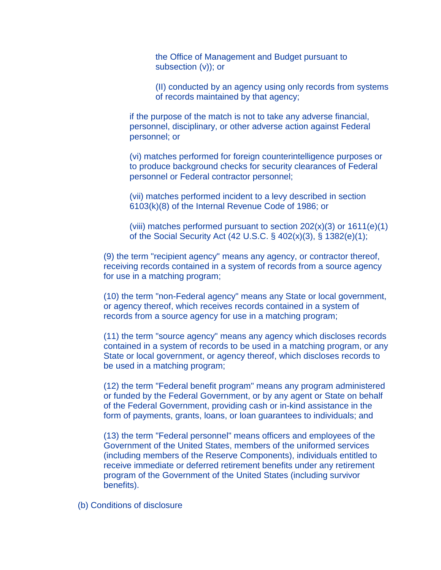the Office of Management and Budget pursuant to subsection (v)); or

(II) conducted by an agency using only records from systems of records maintained by that agency;

if the purpose of the match is not to take any adverse financial, personnel, disciplinary, or other adverse action against Federal personnel; or

(vi) matches performed for foreign counterintelligence purposes or to produce background checks for security clearances of Federal personnel or Federal contractor personnel;

(vii) matches performed incident to a levy described in section 6103(k)(8) of the Internal Revenue Code of 1986; or

(viii) matches performed pursuant to section  $202(x)(3)$  or  $1611(e)(1)$ of the Social Security Act (42 U.S.C. § 402(x)(3), § 1382(e)(1);

(9) the term "recipient agency" means any agency, or contractor thereof, receiving records contained in a system of records from a source agency for use in a matching program;

(10) the term "non-Federal agency" means any State or local government, or agency thereof, which receives records contained in a system of records from a source agency for use in a matching program;

(11) the term "source agency" means any agency which discloses records contained in a system of records to be used in a matching program, or any State or local government, or agency thereof, which discloses records to be used in a matching program;

(12) the term "Federal benefit program" means any program administered or funded by the Federal Government, or by any agent or State on behalf of the Federal Government, providing cash or in-kind assistance in the form of payments, grants, loans, or loan guarantees to individuals; and

(13) the term "Federal personnel" means officers and employees of the Government of the United States, members of the uniformed services (including members of the Reserve Components), individuals entitled to receive immediate or deferred retirement benefits under any retirement program of the Government of the United States (including survivor benefits).

(b) Conditions of disclosure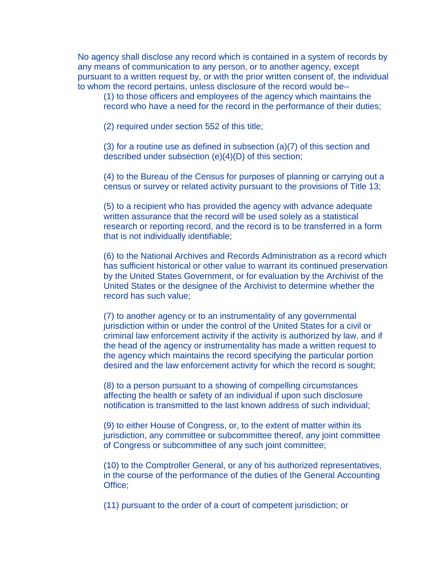No agency shall disclose any record which is contained in a system of records by any means of communication to any person, or to another agency, except pursuant to a written request by, or with the prior written consent of, the individual to whom the record pertains, unless disclosure of the record would be--

(1) to those officers and employees of the agency which maintains the record who have a need for the record in the performance of their duties;

(2) required under section 552 of this title;

(3) for a routine use as defined in subsection (a)(7) of this section and described under subsection (e)(4)(D) of this section;

(4) to the Bureau of the Census for purposes of planning or carrying out a census or survey or related activity pursuant to the provisions of Title 13;

(5) to a recipient who has provided the agency with advance adequate written assurance that the record will be used solely as a statistical research or reporting record, and the record is to be transferred in a form that is not individually identifiable;

(6) to the National Archives and Records Administration as a record which has sufficient historical or other value to warrant its continued preservation by the United States Government, or for evaluation by the Archivist of the United States or the designee of the Archivist to determine whether the record has such value;

(7) to another agency or to an instrumentality of any governmental jurisdiction within or under the control of the United States for a civil or criminal law enforcement activity if the activity is authorized by law, and if the head of the agency or instrumentality has made a written request to the agency which maintains the record specifying the particular portion desired and the law enforcement activity for which the record is sought;

(8) to a person pursuant to a showing of compelling circumstances affecting the health or safety of an individual if upon such disclosure notification is transmitted to the last known address of such individual;

(9) to either House of Congress, or, to the extent of matter within its jurisdiction, any committee or subcommittee thereof, any joint committee of Congress or subcommittee of any such joint committee;

(10) to the Comptroller General, or any of his authorized representatives, in the course of the performance of the duties of the General Accounting Office;

(11) pursuant to the order of a court of competent jurisdiction; or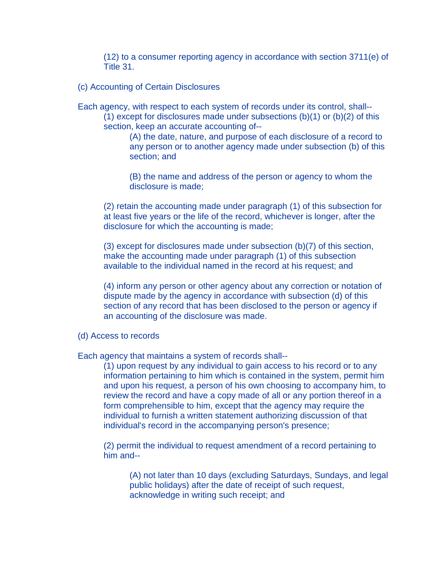(12) to a consumer reporting agency in accordance with section 3711(e) of Title 31.

(c) Accounting of Certain Disclosures

Each agency, with respect to each system of records under its control, shall-- (1) except for disclosures made under subsections  $(b)(1)$  or  $(b)(2)$  of this section, keep an accurate accounting of--

> (A) the date, nature, and purpose of each disclosure of a record to any person or to another agency made under subsection (b) of this section; and

(B) the name and address of the person or agency to whom the disclosure is made;

(2) retain the accounting made under paragraph (1) of this subsection for at least five years or the life of the record, whichever is longer, after the disclosure for which the accounting is made;

(3) except for disclosures made under subsection (b)(7) of this section, make the accounting made under paragraph (1) of this subsection available to the individual named in the record at his request; and

(4) inform any person or other agency about any correction or notation of dispute made by the agency in accordance with subsection (d) of this section of any record that has been disclosed to the person or agency if an accounting of the disclosure was made.

(d) Access to records

Each agency that maintains a system of records shall--

(1) upon request by any individual to gain access to his record or to any information pertaining to him which is contained in the system, permit him and upon his request, a person of his own choosing to accompany him, to review the record and have a copy made of all or any portion thereof in a form comprehensible to him, except that the agency may require the individual to furnish a written statement authorizing discussion of that individual's record in the accompanying person's presence;

(2) permit the individual to request amendment of a record pertaining to him and--

(A) not later than 10 days (excluding Saturdays, Sundays, and legal public holidays) after the date of receipt of such request, acknowledge in writing such receipt; and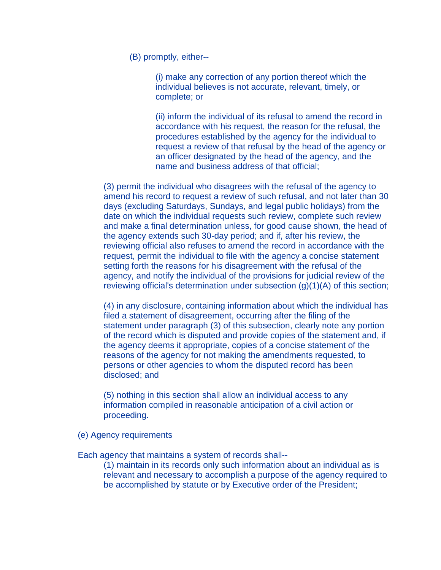(B) promptly, either--

(i) make any correction of any portion thereof which the individual believes is not accurate, relevant, timely, or complete; or

(ii) inform the individual of its refusal to amend the record in accordance with his request, the reason for the refusal, the procedures established by the agency for the individual to request a review of that refusal by the head of the agency or an officer designated by the head of the agency, and the name and business address of that official;

(3) permit the individual who disagrees with the refusal of the agency to amend his record to request a review of such refusal, and not later than 30 days (excluding Saturdays, Sundays, and legal public holidays) from the date on which the individual requests such review, complete such review and make a final determination unless, for good cause shown, the head of the agency extends such 30-day period; and if, after his review, the reviewing official also refuses to amend the record in accordance with the request, permit the individual to file with the agency a concise statement setting forth the reasons for his disagreement with the refusal of the agency, and notify the individual of the provisions for judicial review of the reviewing official's determination under subsection (g)(1)(A) of this section;

(4) in any disclosure, containing information about which the individual has filed a statement of disagreement, occurring after the filing of the statement under paragraph (3) of this subsection, clearly note any portion of the record which is disputed and provide copies of the statement and, if the agency deems it appropriate, copies of a concise statement of the reasons of the agency for not making the amendments requested, to persons or other agencies to whom the disputed record has been disclosed; and

(5) nothing in this section shall allow an individual access to any information compiled in reasonable anticipation of a civil action or proceeding.

(e) Agency requirements

Each agency that maintains a system of records shall--

(1) maintain in its records only such information about an individual as is relevant and necessary to accomplish a purpose of the agency required to be accomplished by statute or by Executive order of the President;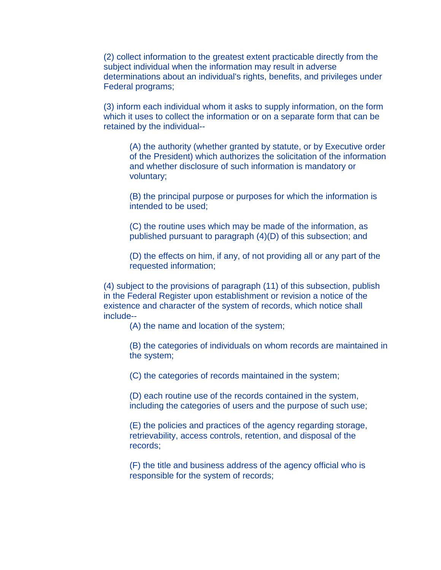(2) collect information to the greatest extent practicable directly from the subject individual when the information may result in adverse determinations about an individual's rights, benefits, and privileges under Federal programs;

(3) inform each individual whom it asks to supply information, on the form which it uses to collect the information or on a separate form that can be retained by the individual--

(A) the authority (whether granted by statute, or by Executive order of the President) which authorizes the solicitation of the information and whether disclosure of such information is mandatory or voluntary;

(B) the principal purpose or purposes for which the information is intended to be used;

(C) the routine uses which may be made of the information, as published pursuant to paragraph (4)(D) of this subsection; and

(D) the effects on him, if any, of not providing all or any part of the requested information;

(4) subject to the provisions of paragraph (11) of this subsection, publish in the Federal Register upon establishment or revision a notice of the existence and character of the system of records, which notice shall include--

(A) the name and location of the system;

(B) the categories of individuals on whom records are maintained in the system;

(C) the categories of records maintained in the system;

(D) each routine use of the records contained in the system, including the categories of users and the purpose of such use;

(E) the policies and practices of the agency regarding storage, retrievability, access controls, retention, and disposal of the records;

(F) the title and business address of the agency official who is responsible for the system of records;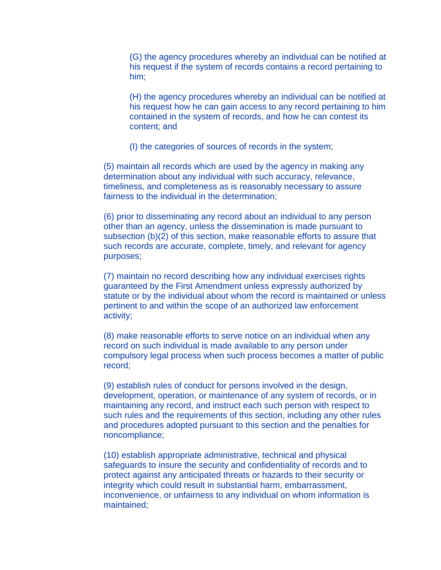(G) the agency procedures whereby an individual can be notified at his request if the system of records contains a record pertaining to him;

(H) the agency procedures whereby an individual can be notified at his request how he can gain access to any record pertaining to him contained in the system of records, and how he can contest its content; and

(I) the categories of sources of records in the system;

(5) maintain all records which are used by the agency in making any determination about any individual with such accuracy, relevance, timeliness, and completeness as is reasonably necessary to assure fairness to the individual in the determination;

(6) prior to disseminating any record about an individual to any person other than an agency, unless the dissemination is made pursuant to subsection (b)(2) of this section, make reasonable efforts to assure that such records are accurate, complete, timely, and relevant for agency purposes;

(7) maintain no record describing how any individual exercises rights guaranteed by the First Amendment unless expressly authorized by statute or by the individual about whom the record is maintained or unless pertinent to and within the scope of an authorized law enforcement activity;

(8) make reasonable efforts to serve notice on an individual when any record on such individual is made available to any person under compulsory legal process when such process becomes a matter of public record;

(9) establish rules of conduct for persons involved in the design, development, operation, or maintenance of any system of records, or in maintaining any record, and instruct each such person with respect to such rules and the requirements of this section, including any other rules and procedures adopted pursuant to this section and the penalties for noncompliance;

(10) establish appropriate administrative, technical and physical safeguards to insure the security and confidentiality of records and to protect against any anticipated threats or hazards to their security or integrity which could result in substantial harm, embarrassment, inconvenience, or unfairness to any individual on whom information is maintained;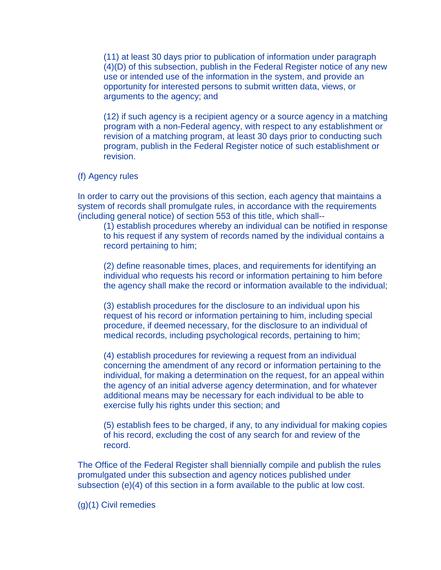(11) at least 30 days prior to publication of information under paragraph (4)(D) of this subsection, publish in the Federal Register notice of any new use or intended use of the information in the system, and provide an opportunity for interested persons to submit written data, views, or arguments to the agency; and

(12) if such agency is a recipient agency or a source agency in a matching program with a non-Federal agency, with respect to any establishment or revision of a matching program, at least 30 days prior to conducting such program, publish in the Federal Register notice of such establishment or revision.

#### (f) Agency rules

In order to carry out the provisions of this section, each agency that maintains a system of records shall promulgate rules, in accordance with the requirements (including general notice) of section 553 of this title, which shall--

(1) establish procedures whereby an individual can be notified in response to his request if any system of records named by the individual contains a record pertaining to him;

(2) define reasonable times, places, and requirements for identifying an individual who requests his record or information pertaining to him before the agency shall make the record or information available to the individual;

(3) establish procedures for the disclosure to an individual upon his request of his record or information pertaining to him, including special procedure, if deemed necessary, for the disclosure to an individual of medical records, including psychological records, pertaining to him;

(4) establish procedures for reviewing a request from an individual concerning the amendment of any record or information pertaining to the individual, for making a determination on the request, for an appeal within the agency of an initial adverse agency determination, and for whatever additional means may be necessary for each individual to be able to exercise fully his rights under this section; and

(5) establish fees to be charged, if any, to any individual for making copies of his record, excluding the cost of any search for and review of the record.

The Office of the Federal Register shall biennially compile and publish the rules promulgated under this subsection and agency notices published under subsection (e)(4) of this section in a form available to the public at low cost.

(g)(1) Civil remedies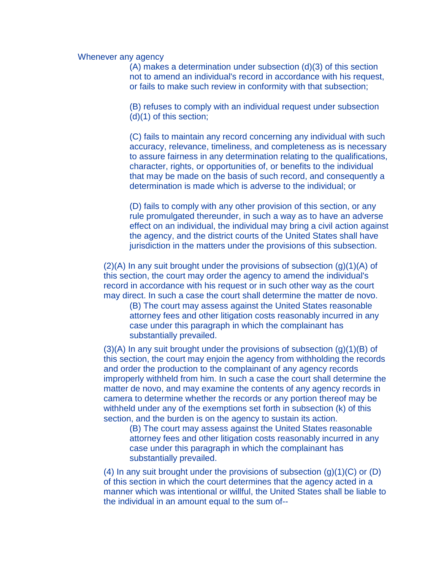### Whenever any agency

(A) makes a determination under subsection (d)(3) of this section not to amend an individual's record in accordance with his request, or fails to make such review in conformity with that subsection;

(B) refuses to comply with an individual request under subsection (d)(1) of this section;

(C) fails to maintain any record concerning any individual with such accuracy, relevance, timeliness, and completeness as is necessary to assure fairness in any determination relating to the qualifications, character, rights, or opportunities of, or benefits to the individual that may be made on the basis of such record, and consequently a determination is made which is adverse to the individual; or

(D) fails to comply with any other provision of this section, or any rule promulgated thereunder, in such a way as to have an adverse effect on an individual, the individual may bring a civil action against the agency, and the district courts of the United States shall have jurisdiction in the matters under the provisions of this subsection.

 $(2)(A)$  In any suit brought under the provisions of subsection  $(q)(1)(A)$  of this section, the court may order the agency to amend the individual's record in accordance with his request or in such other way as the court may direct. In such a case the court shall determine the matter de novo.

(B) The court may assess against the United States reasonable attorney fees and other litigation costs reasonably incurred in any case under this paragraph in which the complainant has substantially prevailed.

 $(3)(A)$  In any suit brought under the provisions of subsection  $(q)(1)(B)$  of this section, the court may enjoin the agency from withholding the records and order the production to the complainant of any agency records improperly withheld from him. In such a case the court shall determine the matter de novo, and may examine the contents of any agency records in camera to determine whether the records or any portion thereof may be withheld under any of the exemptions set forth in subsection (k) of this section, and the burden is on the agency to sustain its action.

(B) The court may assess against the United States reasonable attorney fees and other litigation costs reasonably incurred in any case under this paragraph in which the complainant has substantially prevailed.

(4) In any suit brought under the provisions of subsection  $(g)(1)(C)$  or  $(D)$ of this section in which the court determines that the agency acted in a manner which was intentional or willful, the United States shall be liable to the individual in an amount equal to the sum of--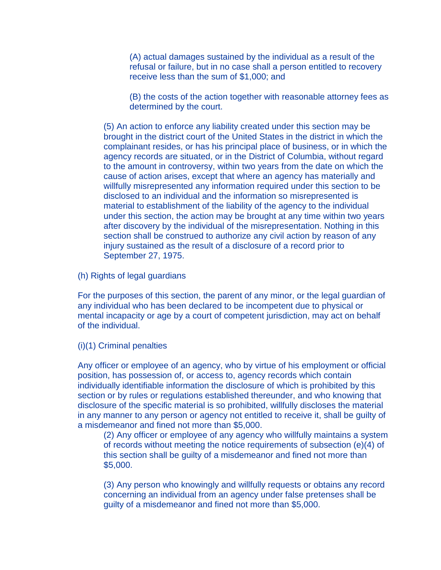(A) actual damages sustained by the individual as a result of the refusal or failure, but in no case shall a person entitled to recovery receive less than the sum of \$1,000; and

(B) the costs of the action together with reasonable attorney fees as determined by the court.

(5) An action to enforce any liability created under this section may be brought in the district court of the United States in the district in which the complainant resides, or has his principal place of business, or in which the agency records are situated, or in the District of Columbia, without regard to the amount in controversy, within two years from the date on which the cause of action arises, except that where an agency has materially and willfully misrepresented any information required under this section to be disclosed to an individual and the information so misrepresented is material to establishment of the liability of the agency to the individual under this section, the action may be brought at any time within two years after discovery by the individual of the misrepresentation. Nothing in this section shall be construed to authorize any civil action by reason of any injury sustained as the result of a disclosure of a record prior to September 27, 1975.

(h) Rights of legal guardians

For the purposes of this section, the parent of any minor, or the legal guardian of any individual who has been declared to be incompetent due to physical or mental incapacity or age by a court of competent jurisdiction, may act on behalf of the individual.

#### (i)(1) Criminal penalties

Any officer or employee of an agency, who by virtue of his employment or official position, has possession of, or access to, agency records which contain individually identifiable information the disclosure of which is prohibited by this section or by rules or regulations established thereunder, and who knowing that disclosure of the specific material is so prohibited, willfully discloses the material in any manner to any person or agency not entitled to receive it, shall be guilty of a misdemeanor and fined not more than \$5,000.

(2) Any officer or employee of any agency who willfully maintains a system of records without meeting the notice requirements of subsection (e)(4) of this section shall be guilty of a misdemeanor and fined not more than \$5,000.

(3) Any person who knowingly and willfully requests or obtains any record concerning an individual from an agency under false pretenses shall be guilty of a misdemeanor and fined not more than \$5,000.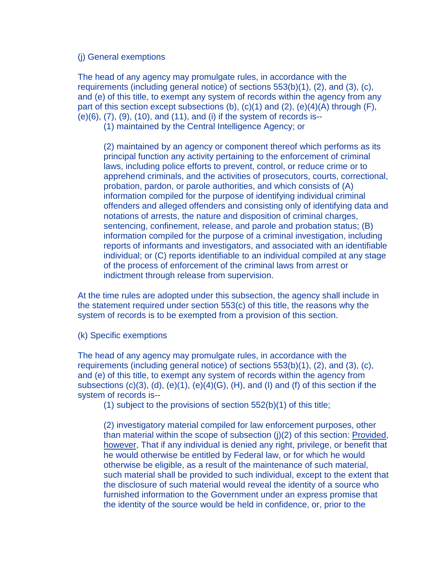### (j) General exemptions

The head of any agency may promulgate rules, in accordance with the requirements (including general notice) of sections 553(b)(1), (2), and (3), (c), and (e) of this title, to exempt any system of records within the agency from any part of this section except subsections (b),  $(c)(1)$  and  $(2)$ ,  $(e)(4)(A)$  through  $(F)$ , (e)(6), (7), (9), (10), and (11), and (i) if the system of records is--

(1) maintained by the Central Intelligence Agency; or

(2) maintained by an agency or component thereof which performs as its principal function any activity pertaining to the enforcement of criminal laws, including police efforts to prevent, control, or reduce crime or to apprehend criminals, and the activities of prosecutors, courts, correctional, probation, pardon, or parole authorities, and which consists of (A) information compiled for the purpose of identifying individual criminal offenders and alleged offenders and consisting only of identifying data and notations of arrests, the nature and disposition of criminal charges, sentencing, confinement, release, and parole and probation status; (B) information compiled for the purpose of a criminal investigation, including reports of informants and investigators, and associated with an identifiable individual; or (C) reports identifiable to an individual compiled at any stage of the process of enforcement of the criminal laws from arrest or indictment through release from supervision.

At the time rules are adopted under this subsection, the agency shall include in the statement required under section 553(c) of this title, the reasons why the system of records is to be exempted from a provision of this section.

(k) Specific exemptions

The head of any agency may promulgate rules, in accordance with the requirements (including general notice) of sections 553(b)(1), (2), and (3), (c), and (e) of this title, to exempt any system of records within the agency from subsections  $(c)(3)$ ,  $(d)$ ,  $(e)(1)$ ,  $(e)(4)(G)$ ,  $(H)$ , and  $(H)$  and  $(H)$  of this section if the system of records is--

(1) subject to the provisions of section 552(b)(1) of this title;

(2) investigatory material compiled for law enforcement purposes, other than material within the scope of subsection (j)(2) of this section: Provided, however, That if any individual is denied any right, privilege, or benefit that he would otherwise be entitled by Federal law, or for which he would otherwise be eligible, as a result of the maintenance of such material, such material shall be provided to such individual, except to the extent that the disclosure of such material would reveal the identity of a source who furnished information to the Government under an express promise that the identity of the source would be held in confidence, or, prior to the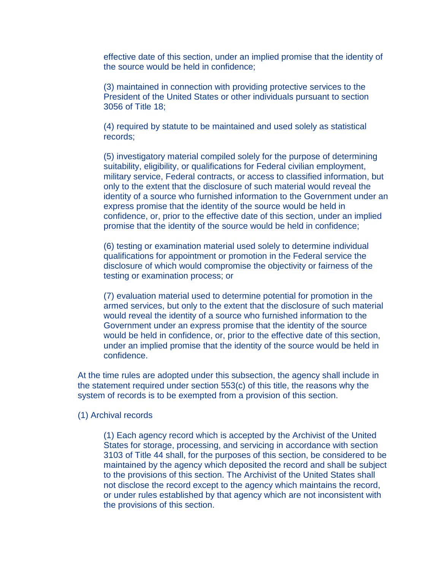effective date of this section, under an implied promise that the identity of the source would be held in confidence;

(3) maintained in connection with providing protective services to the President of the United States or other individuals pursuant to section 3056 of Title 18;

(4) required by statute to be maintained and used solely as statistical records;

(5) investigatory material compiled solely for the purpose of determining suitability, eligibility, or qualifications for Federal civilian employment, military service, Federal contracts, or access to classified information, but only to the extent that the disclosure of such material would reveal the identity of a source who furnished information to the Government under an express promise that the identity of the source would be held in confidence, or, prior to the effective date of this section, under an implied promise that the identity of the source would be held in confidence;

(6) testing or examination material used solely to determine individual qualifications for appointment or promotion in the Federal service the disclosure of which would compromise the objectivity or fairness of the testing or examination process; or

(7) evaluation material used to determine potential for promotion in the armed services, but only to the extent that the disclosure of such material would reveal the identity of a source who furnished information to the Government under an express promise that the identity of the source would be held in confidence, or, prior to the effective date of this section, under an implied promise that the identity of the source would be held in confidence.

At the time rules are adopted under this subsection, the agency shall include in the statement required under section 553(c) of this title, the reasons why the system of records is to be exempted from a provision of this section.

### (1) Archival records

(1) Each agency record which is accepted by the Archivist of the United States for storage, processing, and servicing in accordance with section 3103 of Title 44 shall, for the purposes of this section, be considered to be maintained by the agency which deposited the record and shall be subject to the provisions of this section. The Archivist of the United States shall not disclose the record except to the agency which maintains the record, or under rules established by that agency which are not inconsistent with the provisions of this section.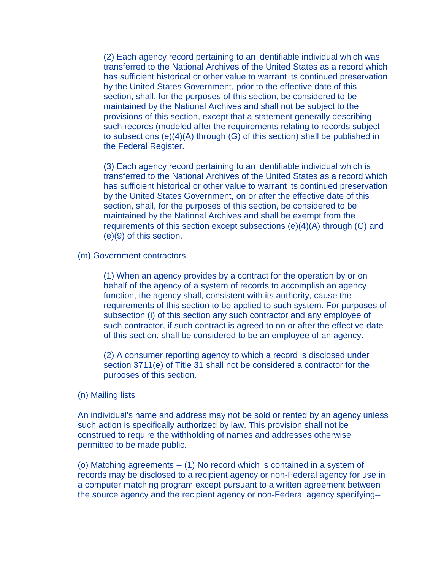(2) Each agency record pertaining to an identifiable individual which was transferred to the National Archives of the United States as a record which has sufficient historical or other value to warrant its continued preservation by the United States Government, prior to the effective date of this section, shall, for the purposes of this section, be considered to be maintained by the National Archives and shall not be subject to the provisions of this section, except that a statement generally describing such records (modeled after the requirements relating to records subject to subsections (e)(4)(A) through (G) of this section) shall be published in the Federal Register.

(3) Each agency record pertaining to an identifiable individual which is transferred to the National Archives of the United States as a record which has sufficient historical or other value to warrant its continued preservation by the United States Government, on or after the effective date of this section, shall, for the purposes of this section, be considered to be maintained by the National Archives and shall be exempt from the requirements of this section except subsections (e)(4)(A) through (G) and (e)(9) of this section.

(m) Government contractors

(1) When an agency provides by a contract for the operation by or on behalf of the agency of a system of records to accomplish an agency function, the agency shall, consistent with its authority, cause the requirements of this section to be applied to such system. For purposes of subsection (i) of this section any such contractor and any employee of such contractor, if such contract is agreed to on or after the effective date of this section, shall be considered to be an employee of an agency.

(2) A consumer reporting agency to which a record is disclosed under section 3711(e) of Title 31 shall not be considered a contractor for the purposes of this section.

#### (n) Mailing lists

An individual's name and address may not be sold or rented by an agency unless such action is specifically authorized by law. This provision shall not be construed to require the withholding of names and addresses otherwise permitted to be made public.

(o) Matching agreements -- (1) No record which is contained in a system of records may be disclosed to a recipient agency or non-Federal agency for use in a computer matching program except pursuant to a written agreement between the source agency and the recipient agency or non-Federal agency specifying--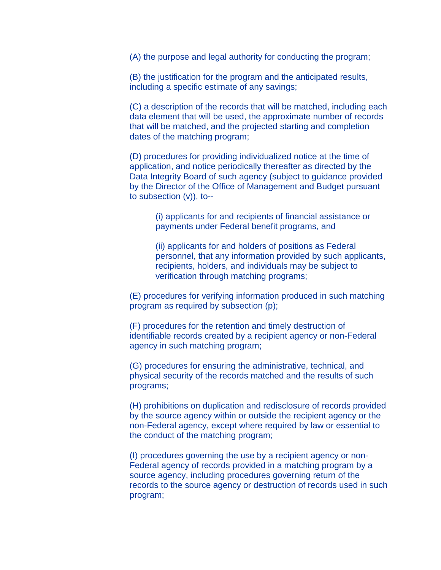(A) the purpose and legal authority for conducting the program;

(B) the justification for the program and the anticipated results, including a specific estimate of any savings;

(C) a description of the records that will be matched, including each data element that will be used, the approximate number of records that will be matched, and the projected starting and completion dates of the matching program;

(D) procedures for providing individualized notice at the time of application, and notice periodically thereafter as directed by the Data Integrity Board of such agency (subject to guidance provided by the Director of the Office of Management and Budget pursuant to subsection (v)), to--

> (i) applicants for and recipients of financial assistance or payments under Federal benefit programs, and

(ii) applicants for and holders of positions as Federal personnel, that any information provided by such applicants, recipients, holders, and individuals may be subject to verification through matching programs;

(E) procedures for verifying information produced in such matching program as required by subsection (p);

(F) procedures for the retention and timely destruction of identifiable records created by a recipient agency or non-Federal agency in such matching program;

(G) procedures for ensuring the administrative, technical, and physical security of the records matched and the results of such programs;

(H) prohibitions on duplication and redisclosure of records provided by the source agency within or outside the recipient agency or the non-Federal agency, except where required by law or essential to the conduct of the matching program;

(I) procedures governing the use by a recipient agency or non-Federal agency of records provided in a matching program by a source agency, including procedures governing return of the records to the source agency or destruction of records used in such program;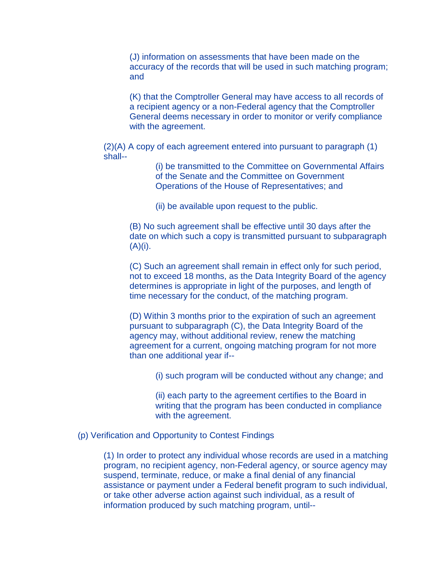(J) information on assessments that have been made on the accuracy of the records that will be used in such matching program; and

(K) that the Comptroller General may have access to all records of a recipient agency or a non-Federal agency that the Comptroller General deems necessary in order to monitor or verify compliance with the agreement.

(2)(A) A copy of each agreement entered into pursuant to paragraph (1) shall--

> (i) be transmitted to the Committee on Governmental Affairs of the Senate and the Committee on Government Operations of the House of Representatives; and

(ii) be available upon request to the public.

(B) No such agreement shall be effective until 30 days after the date on which such a copy is transmitted pursuant to subparagraph  $(A)(i)$ .

(C) Such an agreement shall remain in effect only for such period, not to exceed 18 months, as the Data Integrity Board of the agency determines is appropriate in light of the purposes, and length of time necessary for the conduct, of the matching program.

(D) Within 3 months prior to the expiration of such an agreement pursuant to subparagraph (C), the Data Integrity Board of the agency may, without additional review, renew the matching agreement for a current, ongoing matching program for not more than one additional year if--

(i) such program will be conducted without any change; and

(ii) each party to the agreement certifies to the Board in writing that the program has been conducted in compliance with the agreement.

### (p) Verification and Opportunity to Contest Findings

(1) In order to protect any individual whose records are used in a matching program, no recipient agency, non-Federal agency, or source agency may suspend, terminate, reduce, or make a final denial of any financial assistance or payment under a Federal benefit program to such individual, or take other adverse action against such individual, as a result of information produced by such matching program, until--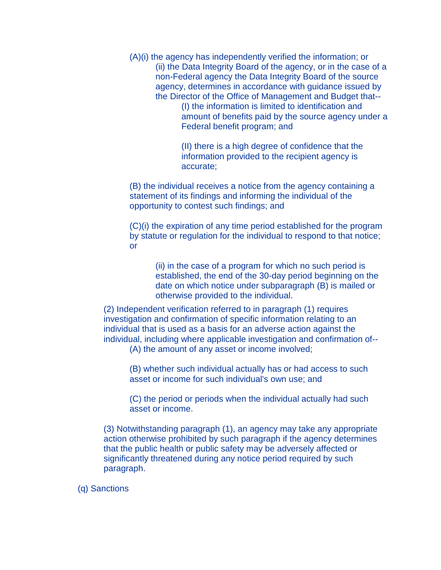(A)(i) the agency has independently verified the information; or (ii) the Data Integrity Board of the agency, or in the case of a non-Federal agency the Data Integrity Board of the source agency, determines in accordance with guidance issued by the Director of the Office of Management and Budget that-- (I) the information is limited to identification and

amount of benefits paid by the source agency under a Federal benefit program; and

(II) there is a high degree of confidence that the information provided to the recipient agency is accurate;

(B) the individual receives a notice from the agency containing a statement of its findings and informing the individual of the opportunity to contest such findings; and

(C)(i) the expiration of any time period established for the program by statute or regulation for the individual to respond to that notice; or

> (ii) in the case of a program for which no such period is established, the end of the 30-day period beginning on the date on which notice under subparagraph (B) is mailed or otherwise provided to the individual.

(2) Independent verification referred to in paragraph (1) requires investigation and confirmation of specific information relating to an individual that is used as a basis for an adverse action against the individual, including where applicable investigation and confirmation of--

(A) the amount of any asset or income involved;

(B) whether such individual actually has or had access to such asset or income for such individual's own use; and

(C) the period or periods when the individual actually had such asset or income.

(3) Notwithstanding paragraph (1), an agency may take any appropriate action otherwise prohibited by such paragraph if the agency determines that the public health or public safety may be adversely affected or significantly threatened during any notice period required by such paragraph.

(q) Sanctions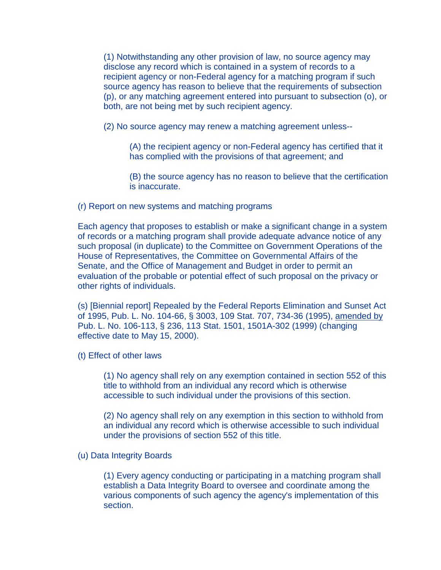(1) Notwithstanding any other provision of law, no source agency may disclose any record which is contained in a system of records to a recipient agency or non-Federal agency for a matching program if such source agency has reason to believe that the requirements of subsection (p), or any matching agreement entered into pursuant to subsection (o), or both, are not being met by such recipient agency.

(2) No source agency may renew a matching agreement unless--

(A) the recipient agency or non-Federal agency has certified that it has complied with the provisions of that agreement; and

(B) the source agency has no reason to believe that the certification is inaccurate.

(r) Report on new systems and matching programs

Each agency that proposes to establish or make a significant change in a system of records or a matching program shall provide adequate advance notice of any such proposal (in duplicate) to the Committee on Government Operations of the House of Representatives, the Committee on Governmental Affairs of the Senate, and the Office of Management and Budget in order to permit an evaluation of the probable or potential effect of such proposal on the privacy or other rights of individuals.

(s) [Biennial report] Repealed by the Federal Reports Elimination and Sunset Act of 1995, Pub. L. No. 104-66, § 3003, 109 Stat. 707, 734-36 (1995), amended by Pub. L. No. 106-113, § 236, 113 Stat. 1501, 1501A-302 (1999) (changing effective date to May 15, 2000).

(t) Effect of other laws

(1) No agency shall rely on any exemption contained in section 552 of this title to withhold from an individual any record which is otherwise accessible to such individual under the provisions of this section.

(2) No agency shall rely on any exemption in this section to withhold from an individual any record which is otherwise accessible to such individual under the provisions of section 552 of this title.

(u) Data Integrity Boards

(1) Every agency conducting or participating in a matching program shall establish a Data Integrity Board to oversee and coordinate among the various components of such agency the agency's implementation of this section.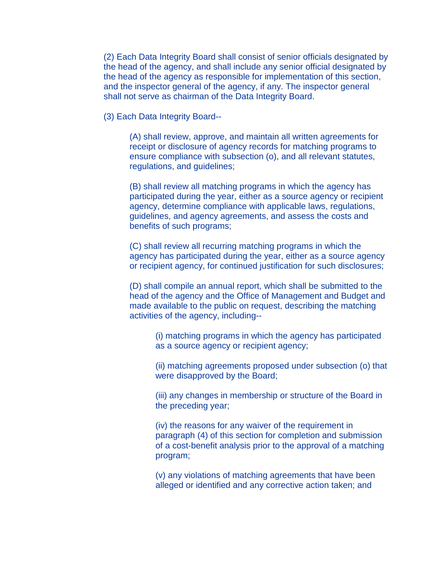(2) Each Data Integrity Board shall consist of senior officials designated by the head of the agency, and shall include any senior official designated by the head of the agency as responsible for implementation of this section, and the inspector general of the agency, if any. The inspector general shall not serve as chairman of the Data Integrity Board.

(3) Each Data Integrity Board--

(A) shall review, approve, and maintain all written agreements for receipt or disclosure of agency records for matching programs to ensure compliance with subsection (o), and all relevant statutes, regulations, and guidelines;

(B) shall review all matching programs in which the agency has participated during the year, either as a source agency or recipient agency, determine compliance with applicable laws, regulations, guidelines, and agency agreements, and assess the costs and benefits of such programs;

(C) shall review all recurring matching programs in which the agency has participated during the year, either as a source agency or recipient agency, for continued justification for such disclosures;

(D) shall compile an annual report, which shall be submitted to the head of the agency and the Office of Management and Budget and made available to the public on request, describing the matching activities of the agency, including--

> (i) matching programs in which the agency has participated as a source agency or recipient agency;

(ii) matching agreements proposed under subsection (o) that were disapproved by the Board;

(iii) any changes in membership or structure of the Board in the preceding year;

(iv) the reasons for any waiver of the requirement in paragraph (4) of this section for completion and submission of a cost-benefit analysis prior to the approval of a matching program;

(v) any violations of matching agreements that have been alleged or identified and any corrective action taken; and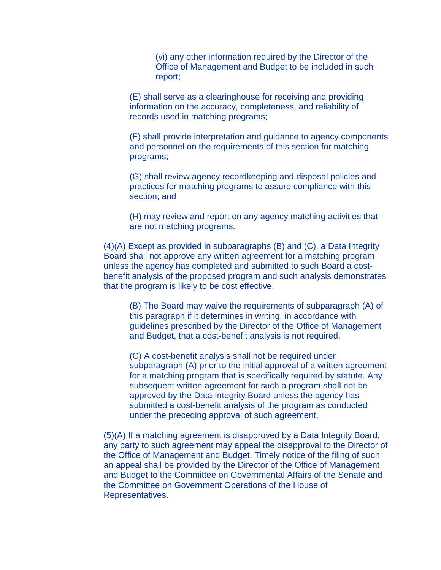(vi) any other information required by the Director of the Office of Management and Budget to be included in such report;

(E) shall serve as a clearinghouse for receiving and providing information on the accuracy, completeness, and reliability of records used in matching programs;

(F) shall provide interpretation and guidance to agency components and personnel on the requirements of this section for matching programs;

(G) shall review agency recordkeeping and disposal policies and practices for matching programs to assure compliance with this section; and

(H) may review and report on any agency matching activities that are not matching programs.

(4)(A) Except as provided in subparagraphs (B) and (C), a Data Integrity Board shall not approve any written agreement for a matching program unless the agency has completed and submitted to such Board a costbenefit analysis of the proposed program and such analysis demonstrates that the program is likely to be cost effective.

(B) The Board may waive the requirements of subparagraph (A) of this paragraph if it determines in writing, in accordance with guidelines prescribed by the Director of the Office of Management and Budget, that a cost-benefit analysis is not required.

(C) A cost-benefit analysis shall not be required under subparagraph (A) prior to the initial approval of a written agreement for a matching program that is specifically required by statute. Any subsequent written agreement for such a program shall not be approved by the Data Integrity Board unless the agency has submitted a cost-benefit analysis of the program as conducted under the preceding approval of such agreement.

(5)(A) If a matching agreement is disapproved by a Data Integrity Board, any party to such agreement may appeal the disapproval to the Director of the Office of Management and Budget. Timely notice of the filing of such an appeal shall be provided by the Director of the Office of Management and Budget to the Committee on Governmental Affairs of the Senate and the Committee on Government Operations of the House of Representatives.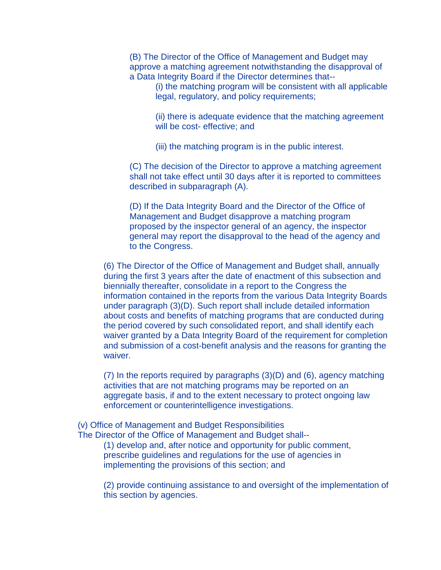(B) The Director of the Office of Management and Budget may approve a matching agreement notwithstanding the disapproval of a Data Integrity Board if the Director determines that--

> (i) the matching program will be consistent with all applicable legal, regulatory, and policy requirements;

(ii) there is adequate evidence that the matching agreement will be cost- effective; and

(iii) the matching program is in the public interest.

(C) The decision of the Director to approve a matching agreement shall not take effect until 30 days after it is reported to committees described in subparagraph (A).

(D) If the Data Integrity Board and the Director of the Office of Management and Budget disapprove a matching program proposed by the inspector general of an agency, the inspector general may report the disapproval to the head of the agency and to the Congress.

(6) The Director of the Office of Management and Budget shall, annually during the first 3 years after the date of enactment of this subsection and biennially thereafter, consolidate in a report to the Congress the information contained in the reports from the various Data Integrity Boards under paragraph (3)(D). Such report shall include detailed information about costs and benefits of matching programs that are conducted during the period covered by such consolidated report, and shall identify each waiver granted by a Data Integrity Board of the requirement for completion and submission of a cost-benefit analysis and the reasons for granting the waiver.

(7) In the reports required by paragraphs (3)(D) and (6), agency matching activities that are not matching programs may be reported on an aggregate basis, if and to the extent necessary to protect ongoing law enforcement or counterintelligence investigations.

(v) Office of Management and Budget Responsibilities

The Director of the Office of Management and Budget shall--

(1) develop and, after notice and opportunity for public comment, prescribe guidelines and regulations for the use of agencies in implementing the provisions of this section; and

(2) provide continuing assistance to and oversight of the implementation of this section by agencies.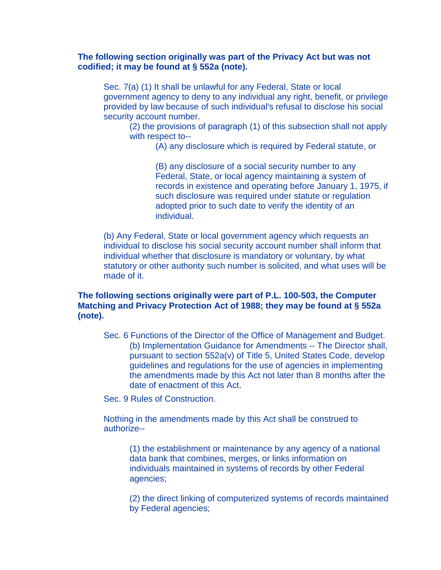### **The following section originally was part of the Privacy Act but was not codified; it may be found at § 552a (note).**

Sec. 7(a) (1) It shall be unlawful for any Federal, State or local government agency to deny to any individual any right, benefit, or privilege provided by law because of such individual's refusal to disclose his social security account number.

(2) the provisions of paragraph (1) of this subsection shall not apply with respect to--

(A) any disclosure which is required by Federal statute, or

(B) any disclosure of a social security number to any Federal, State, or local agency maintaining a system of records in existence and operating before January 1, 1975, if such disclosure was required under statute or regulation adopted prior to such date to verify the identity of an individual.

(b) Any Federal, State or local government agency which requests an individual to disclose his social security account number shall inform that individual whether that disclosure is mandatory or voluntary, by what statutory or other authority such number is solicited, and what uses will be made of it.

### **The following sections originally were part of P.L. 100-503, the Computer Matching and Privacy Protection Act of 1988; they may be found at § 552a (note).**

Sec. 6 Functions of the Director of the Office of Management and Budget. (b) Implementation Guidance for Amendments -- The Director shall, pursuant to section 552a(v) of Title 5, United States Code, develop guidelines and regulations for the use of agencies in implementing the amendments made by this Act not later than 8 months after the date of enactment of this Act.

Sec. 9 Rules of Construction.

Nothing in the amendments made by this Act shall be construed to authorize--

(1) the establishment or maintenance by any agency of a national data bank that combines, merges, or links information on individuals maintained in systems of records by other Federal agencies;

(2) the direct linking of computerized systems of records maintained by Federal agencies;